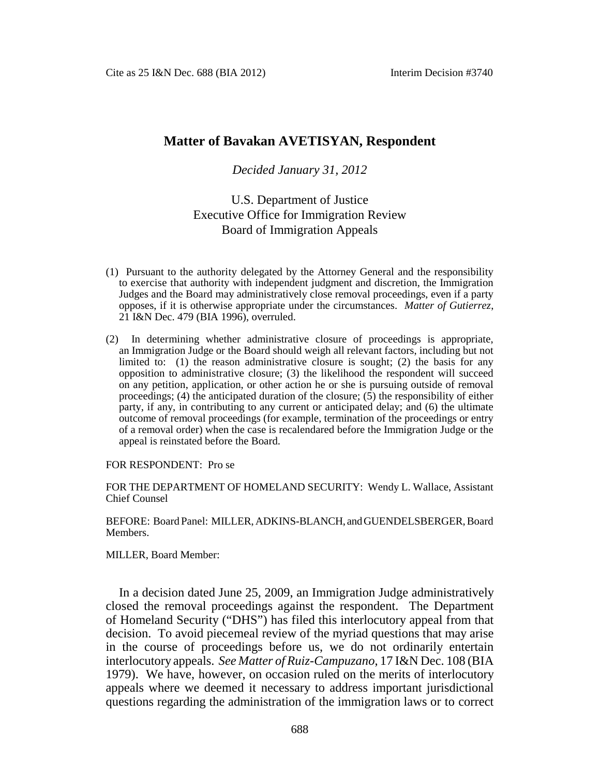# **Matter of Bavakan AVETISYAN, Respondent**

## *Decided January 31, 2012*

# U.S. Department of Justice Executive Office for Immigration Review Board of Immigration Appeals

- (1) Pursuant to the authority delegated by the Attorney General and the responsibility to exercise that authority with independent judgment and discretion, the Immigration Judges and the Board may administratively close removal proceedings, even if a party opposes, if it is otherwise appropriate under the circumstances. *Matter of Gutierrez*, 21 I&N Dec. 479 (BIA 1996), overruled.
- (2) In determining whether administrative closure of proceedings is appropriate, an Immigration Judge or the Board should weigh all relevant factors, including but not limited to: (1) the reason administrative closure is sought; (2) the basis for any opposition to administrative closure; (3) the likelihood the respondent will succeed on any petition, application, or other action he or she is pursuing outside of removal proceedings; (4) the anticipated duration of the closure; (5) the responsibility of either party, if any, in contributing to any current or anticipated delay; and (6) the ultimate outcome of removal proceedings (for example, termination of the proceedings or entry of a removal order) when the case is recalendared before the Immigration Judge or the appeal is reinstated before the Board.

FOR RESPONDENT: Pro se

FOR THE DEPARTMENT OF HOMELAND SECURITY: Wendy L. Wallace, Assistant Chief Counsel

BEFORE: Board Panel: MILLER, ADKINS-BLANCH, and GUENDELSBERGER, Board Members.

MILLER, Board Member:

In a decision dated June 25, 2009, an Immigration Judge administratively closed the removal proceedings against the respondent. The Department of Homeland Security ("DHS") has filed this interlocutory appeal from that decision. To avoid piecemeal review of the myriad questions that may arise in the course of proceedings before us, we do not ordinarily entertain interlocutory appeals. *See Matter of Ruiz-Campuzano*, 17 I&N Dec. 108 (BIA 1979). We have, however, on occasion ruled on the merits of interlocutory appeals where we deemed it necessary to address important jurisdictional questions regarding the administration of the immigration laws or to correct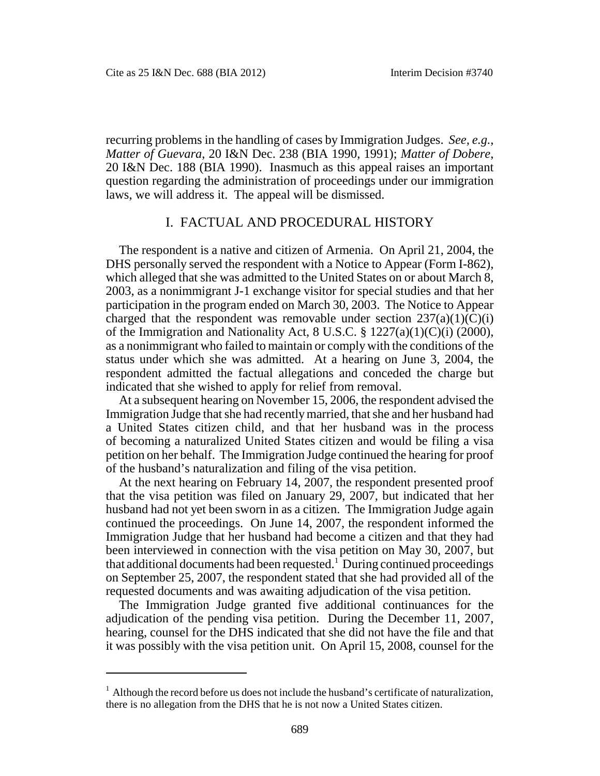recurring problems in the handling of cases by Immigration Judges. *See, e.g.*, *Matter of Guevara*, 20 I&N Dec. 238 (BIA 1990, 1991); *Matter of Dobere*, 20 I&N Dec. 188 (BIA 1990). Inasmuch as this appeal raises an important question regarding the administration of proceedings under our immigration laws, we will address it. The appeal will be dismissed.

## I. FACTUAL AND PROCEDURAL HISTORY

The respondent is a native and citizen of Armenia. On April 21, 2004, the DHS personally served the respondent with a Notice to Appear (Form I-862), which alleged that she was admitted to the United States on or about March 8, 2003, as a nonimmigrant J-1 exchange visitor for special studies and that her participation in the program ended on March 30, 2003. The Notice to Appear charged that the respondent was removable under section  $237(a)(1)(C)(i)$ of the Immigration and Nationality Act, 8 U.S.C. § 1227(a)(1)(C)(i) (2000), as a nonimmigrant who failed to maintain or comply with the conditions of the status under which she was admitted. At a hearing on June 3, 2004, the respondent admitted the factual allegations and conceded the charge but indicated that she wished to apply for relief from removal.

At a subsequent hearing on November 15, 2006, the respondent advised the Immigration Judge that she had recently married, that she and her husband had a United States citizen child, and that her husband was in the process of becoming a naturalized United States citizen and would be filing a visa petition on her behalf. The Immigration Judge continued the hearing for proof of the husband's naturalization and filing of the visa petition.

At the next hearing on February 14, 2007, the respondent presented proof that the visa petition was filed on January 29, 2007, but indicated that her husband had not yet been sworn in as a citizen. The Immigration Judge again continued the proceedings. On June 14, 2007, the respondent informed the Immigration Judge that her husband had become a citizen and that they had been interviewed in connection with the visa petition on May 30, 2007, but that additional documents had been requested.<sup>1</sup> During continued proceedings on September 25, 2007, the respondent stated that she had provided all of the requested documents and was awaiting adjudication of the visa petition.

The Immigration Judge granted five additional continuances for the adjudication of the pending visa petition. During the December 11, 2007, hearing, counsel for the DHS indicated that she did not have the file and that it was possibly with the visa petition unit. On April 15, 2008, counsel for the

 $1$  Although the record before us does not include the husband's certificate of naturalization, there is no allegation from the DHS that he is not now a United States citizen.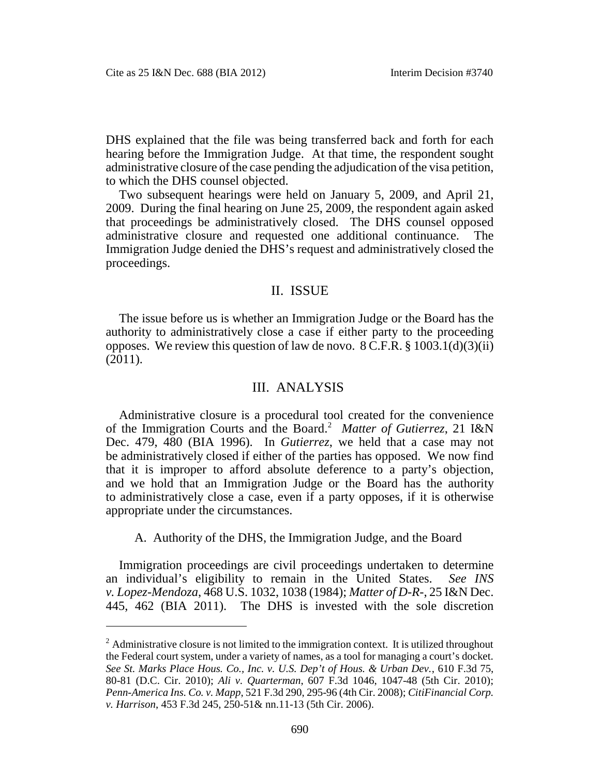DHS explained that the file was being transferred back and forth for each hearing before the Immigration Judge. At that time, the respondent sought administrative closure of the case pending the adjudication of the visa petition, to which the DHS counsel objected.

Two subsequent hearings were held on January 5, 2009, and April 21, 2009. During the final hearing on June 25, 2009, the respondent again asked that proceedings be administratively closed. The DHS counsel opposed administrative closure and requested one additional continuance. The Immigration Judge denied the DHS's request and administratively closed the proceedings.

## II. ISSUE

The issue before us is whether an Immigration Judge or the Board has the authority to administratively close a case if either party to the proceeding opposes. We review this question of law de novo.  $8 \text{ C.F.R.}$   $§ 1003.1(d)(3)(ii)$ (2011).

#### III. ANALYSIS

Administrative closure is a procedural tool created for the convenience of the Immigration Courts and the Board.<sup>2</sup> *Matter of Gutierrez*, 21 I&N Dec. 479, 480 (BIA 1996). In *Gutierrez*, we held that a case may not be administratively closed if either of the parties has opposed. We now find that it is improper to afford absolute deference to a party's objection, and we hold that an Immigration Judge or the Board has the authority to administratively close a case, even if a party opposes, if it is otherwise appropriate under the circumstances.

A. Authority of the DHS, the Immigration Judge, and the Board

Immigration proceedings are civil proceedings undertaken to determine an individual's eligibility to remain in the United States. *See INS v. Lopez-Mendoza*, 468 U.S. 1032, 1038 (1984); *Matter of D-R-*, 25 I&N Dec. 445, 462 (BIA 2011). The DHS is invested with the sole discretion

 $<sup>2</sup>$  Administrative closure is not limited to the immigration context. It is utilized throughout</sup> the Federal court system, under a variety of names, as a tool for managing a court's docket. *See St. Marks Place Hous. Co., Inc. v. U.S. Dep't of Hous. & Urban Dev.*, 610 F.3d 75, 80-81 (D.C. Cir. 2010); *Ali v. Quarterman*, 607 F.3d 1046, 1047-48 (5th Cir. 2010); *Penn-America Ins. Co. v. Mapp*, 521 F.3d 290, 295-96 (4th Cir. 2008); *CitiFinancial Corp. v. Harrison*, 453 F.3d 245, 250-51& nn.11-13 (5th Cir. 2006).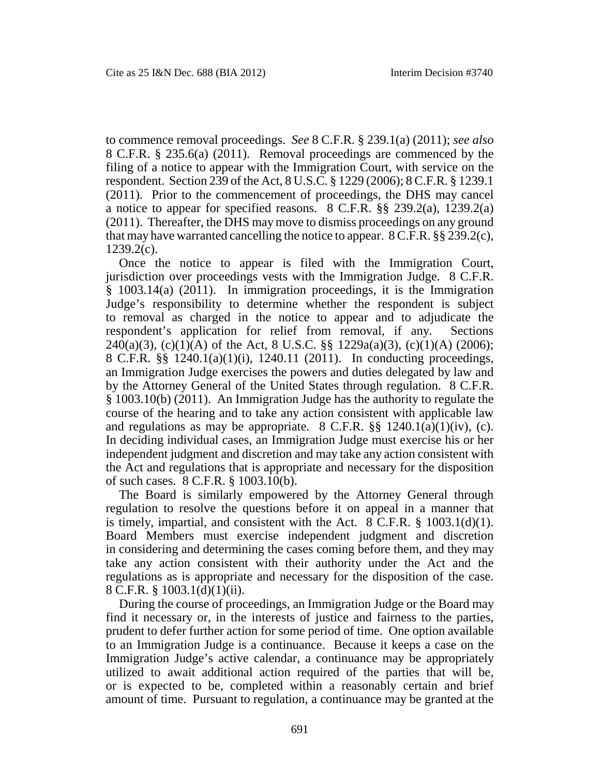to commence removal proceedings. *See* 8 C.F.R. § 239.1(a) (2011); *see also* 8 C.F.R. § 235.6(a) (2011). Removal proceedings are commenced by the filing of a notice to appear with the Immigration Court, with service on the respondent. Section 239 of the Act, 8 U.S.C. § 1229 (2006); 8 C.F.R. § 1239.1 (2011). Prior to the commencement of proceedings, the DHS may cancel a notice to appear for specified reasons. 8 C.F.R. §§ 239.2(a), 1239.2(a) (2011). Thereafter, the DHS may move to dismiss proceedings on any ground that may have warranted cancelling the notice to appear. 8 C.F.R. §§ 239.2(c), 1239.2(c).

Once the notice to appear is filed with the Immigration Court, jurisdiction over proceedings vests with the Immigration Judge. 8 C.F.R. § 1003.14(a) (2011). In immigration proceedings, it is the Immigration Judge's responsibility to determine whether the respondent is subject to removal as charged in the notice to appear and to adjudicate the respondent's application for relief from removal, if any. Sections  $240(a)(3)$ , (c)(1)(A) of the Act, 8 U.S.C. §§ 1229a(a)(3), (c)(1)(A) (2006); 8 C.F.R. §§ 1240.1(a)(1)(i), 1240.11 (2011). In conducting proceedings, an Immigration Judge exercises the powers and duties delegated by law and by the Attorney General of the United States through regulation. 8 C.F.R. § 1003.10(b) (2011). An Immigration Judge has the authority to regulate the course of the hearing and to take any action consistent with applicable law and regulations as may be appropriate.  $8 \text{ C.F.R.}$   $\S_{\frac{5}{3}}$   $1240.1(a)(1)(iv)$ , (c). In deciding individual cases, an Immigration Judge must exercise his or her independent judgment and discretion and may take any action consistent with the Act and regulations that is appropriate and necessary for the disposition of such cases. 8 C.F.R. § 1003.10(b).

The Board is similarly empowered by the Attorney General through regulation to resolve the questions before it on appeal in a manner that is timely, impartial, and consistent with the Act.  $8 \text{ C.F.R. } § 1003.1(d)(1)$ . Board Members must exercise independent judgment and discretion in considering and determining the cases coming before them, and they may take any action consistent with their authority under the Act and the regulations as is appropriate and necessary for the disposition of the case. 8 C.F.R. § 1003.1(d)(1)(ii).

During the course of proceedings, an Immigration Judge or the Board may find it necessary or, in the interests of justice and fairness to the parties, prudent to defer further action for some period of time. One option available to an Immigration Judge is a continuance. Because it keeps a case on the Immigration Judge's active calendar, a continuance may be appropriately utilized to await additional action required of the parties that will be, or is expected to be, completed within a reasonably certain and brief amount of time. Pursuant to regulation, a continuance may be granted at the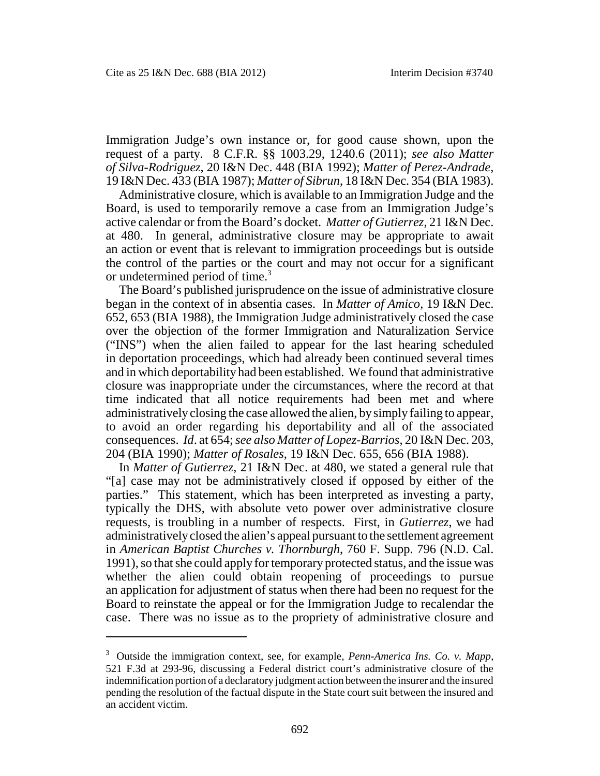Immigration Judge's own instance or, for good cause shown, upon the request of a party. 8 C.F.R. §§ 1003.29, 1240.6 (2011); *see also Matter of Silva-Rodriguez*, 20 I&N Dec. 448 (BIA 1992); *Matter of Perez-Andrade*, 19 I&N Dec. 433 (BIA 1987); *Matter of Sibrun*, 18 I&N Dec. 354 (BIA 1983).

Administrative closure, which is available to an Immigration Judge and the Board, is used to temporarily remove a case from an Immigration Judge's active calendar or from the Board's docket. *Matter of Gutierrez*, 21 I&N Dec. at 480. In general, administrative closure may be appropriate to await an action or event that is relevant to immigration proceedings but is outside the control of the parties or the court and may not occur for a significant or undetermined period of time.<sup>3</sup>

The Board's published jurisprudence on the issue of administrative closure began in the context of in absentia cases. In *Matter of Amico*, 19 I&N Dec. 652, 653 (BIA 1988), the Immigration Judge administratively closed the case over the objection of the former Immigration and Naturalization Service ("INS") when the alien failed to appear for the last hearing scheduled in deportation proceedings, which had already been continued several times and in which deportability had been established. We found that administrative closure was inappropriate under the circumstances, where the record at that time indicated that all notice requirements had been met and where administratively closing the case allowed the alien, by simply failing to appear, to avoid an order regarding his deportability and all of the associated consequences. *Id*. at 654;*see also Matter of Lopez-Barrios*, 20 I&N Dec. 203, 204 (BIA 1990); *Matter of Rosales*, 19 I&N Dec. 655, 656 (BIA 1988).

In *Matter of Gutierrez*, 21 I&N Dec. at 480, we stated a general rule that "[a] case may not be administratively closed if opposed by either of the parties." This statement, which has been interpreted as investing a party, typically the DHS, with absolute veto power over administrative closure requests, is troubling in a number of respects. First, in *Gutierrez*, we had administratively closed the alien's appeal pursuant to the settlement agreement in *American Baptist Churches v. Thornburgh*, 760 F. Supp. 796 (N.D. Cal. 1991), so that she could apply for temporary protected status, and the issue was whether the alien could obtain reopening of proceedings to pursue an application for adjustment of status when there had been no request for the Board to reinstate the appeal or for the Immigration Judge to recalendar the case. There was no issue as to the propriety of administrative closure and

<sup>3</sup> Outside the immigration context, see, for example, *Penn-America Ins. Co. v. Mapp*, 521 F.3d at 293-96, discussing a Federal district court's administrative closure of the indemnification portion of a declaratory judgment action between the insurer and the insured pending the resolution of the factual dispute in the State court suit between the insured and an accident victim.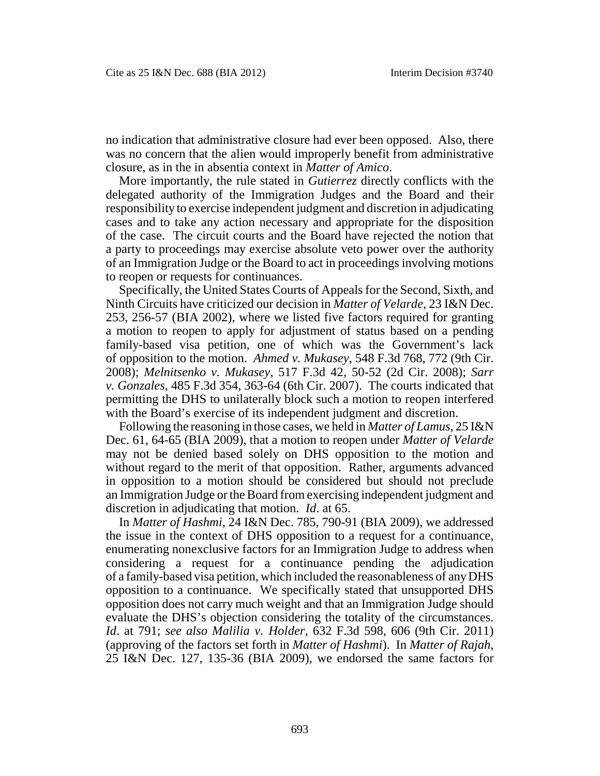no indication that administrative closure had ever been opposed. Also, there was no concern that the alien would improperly benefit from administrative closure, as in the in absentia context in *Matter of Amico*.

More importantly, the rule stated in *Gutierrez* directly conflicts with the delegated authority of the Immigration Judges and the Board and their responsibility to exercise independent judgment and discretion in adjudicating cases and to take any action necessary and appropriate for the disposition of the case. The circuit courts and the Board have rejected the notion that a party to proceedings may exercise absolute veto power over the authority of an Immigration Judge or the Board to act in proceedings involving motions to reopen or requests for continuances.

Specifically, the United States Courts of Appeals for the Second, Sixth, and Ninth Circuits have criticized our decision in *Matter of Velarde*, 23 I&N Dec. 253, 256-57 (BIA 2002), where we listed five factors required for granting a motion to reopen to apply for adjustment of status based on a pending family-based visa petition, one of which was the Government's lack of opposition to the motion. *Ahmed v. Mukasey*, 548 F.3d 768, 772 (9th Cir. 2008); *Melnitsenko v. Mukasey*, 517 F.3d 42, 50-52 (2d Cir. 2008); *Sarr v. Gonzales*, 485 F.3d 354, 363-64 (6th Cir. 2007). The courts indicated that permitting the DHS to unilaterally block such a motion to reopen interfered with the Board's exercise of its independent judgment and discretion.

Following the reasoning in those cases, we held in *Matter of Lamus*, 25 I&N Dec. 61, 64-65 (BIA 2009), that a motion to reopen under *Matter of Velarde* may not be denied based solely on DHS opposition to the motion and without regard to the merit of that opposition. Rather, arguments advanced in opposition to a motion should be considered but should not preclude an Immigration Judge or the Board from exercising independent judgment and discretion in adjudicating that motion. *Id*. at 65.

In *Matter of Hashmi*, 24 I&N Dec. 785, 790-91 (BIA 2009), we addressed the issue in the context of DHS opposition to a request for a continuance, enumerating nonexclusive factors for an Immigration Judge to address when considering a request for a continuance pending the adjudication of a family-based visa petition, which included the reasonableness of any DHS opposition to a continuance. We specifically stated that unsupported DHS opposition does not carry much weight and that an Immigration Judge should evaluate the DHS's objection considering the totality of the circumstances. *Id*. at 791; *see also Malilia v. Holder*, 632 F.3d 598, 606 (9th Cir. 2011) (approving of the factors set forth in *Matter of Hashmi*). In *Matter of Rajah*, 25 I&N Dec. 127, 135-36 (BIA 2009), we endorsed the same factors for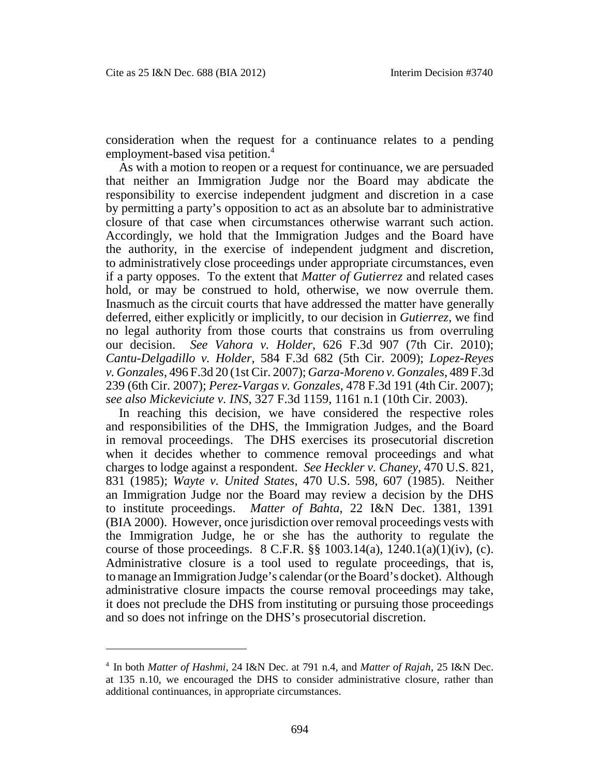consideration when the request for a continuance relates to a pending employment-based visa petition.<sup>4</sup>

As with a motion to reopen or a request for continuance, we are persuaded that neither an Immigration Judge nor the Board may abdicate the responsibility to exercise independent judgment and discretion in a case by permitting a party's opposition to act as an absolute bar to administrative closure of that case when circumstances otherwise warrant such action. Accordingly, we hold that the Immigration Judges and the Board have the authority, in the exercise of independent judgment and discretion, to administratively close proceedings under appropriate circumstances, even if a party opposes. To the extent that *Matter of Gutierrez* and related cases hold, or may be construed to hold, otherwise, we now overrule them. Inasmuch as the circuit courts that have addressed the matter have generally deferred, either explicitly or implicitly, to our decision in *Gutierrez*, we find no legal authority from those courts that constrains us from overruling our decision. *See Vahora v. Holder*, 626 F.3d 907 (7th Cir. 2010); *Cantu-Delgadillo v. Holder*, 584 F.3d 682 (5th Cir. 2009); *Lopez-Reyes v. Gonzales*, 496 F.3d 20 (1st Cir. 2007); *Garza-Moreno v. Gonzales*, 489 F.3d 239 (6th Cir. 2007); *Perez-Vargas v. Gonzales*, 478 F.3d 191 (4th Cir. 2007); *see also Mickeviciute v. INS*, 327 F.3d 1159, 1161 n.1 (10th Cir. 2003).

In reaching this decision, we have considered the respective roles and responsibilities of the DHS, the Immigration Judges, and the Board in removal proceedings. The DHS exercises its prosecutorial discretion when it decides whether to commence removal proceedings and what charges to lodge against a respondent. *See Heckler v. Chaney*, 470 U.S. 821, 831 (1985); *Wayte v. United States*, 470 U.S. 598, 607 (1985). Neither an Immigration Judge nor the Board may review a decision by the DHS to institute proceedings. *Matter of Bahta*, 22 I&N Dec. 1381, 1391 (BIA 2000). However, once jurisdiction over removal proceedings vests with the Immigration Judge, he or she has the authority to regulate the course of those proceedings.  $8 \text{ C.F.R. }$  §§ 1003.14(a), 1240.1(a)(1)(iv), (c). Administrative closure is a tool used to regulate proceedings, that is, to manage an Immigration Judge's calendar (or the Board's docket). Although administrative closure impacts the course removal proceedings may take, it does not preclude the DHS from instituting or pursuing those proceedings and so does not infringe on the DHS's prosecutorial discretion.

<sup>4</sup> In both *Matter of Hashmi*, 24 I&N Dec. at 791 n.4, and *Matter of Rajah*, 25 I&N Dec. at 135 n.10, we encouraged the DHS to consider administrative closure, rather than additional continuances, in appropriate circumstances.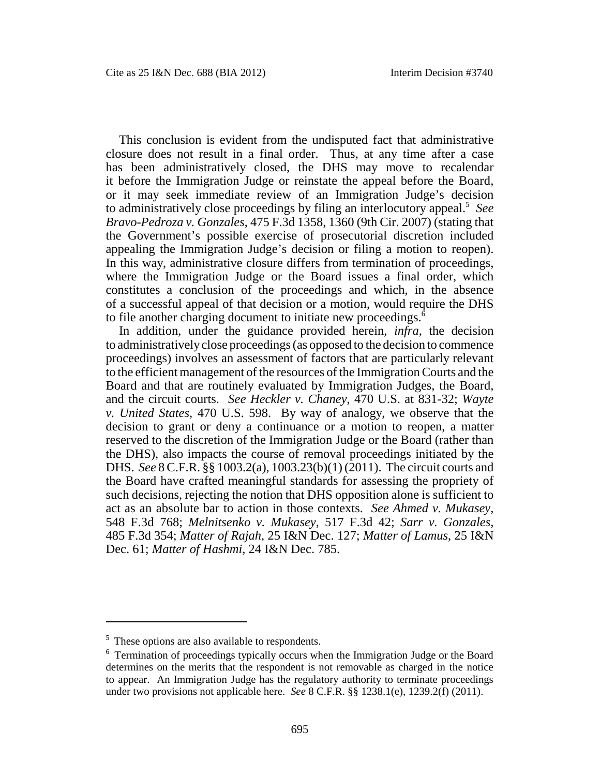This conclusion is evident from the undisputed fact that administrative closure does not result in a final order. Thus, at any time after a case has been administratively closed, the DHS may move to recalendar it before the Immigration Judge or reinstate the appeal before the Board, or it may seek immediate review of an Immigration Judge's decision to administratively close proceedings by filing an interlocutory appeal.<sup>5</sup> *See Bravo-Pedroza v. Gonzales*, 475 F.3d 1358, 1360 (9th Cir. 2007) (stating that the Government's possible exercise of prosecutorial discretion included appealing the Immigration Judge's decision or filing a motion to reopen). In this way, administrative closure differs from termination of proceedings, where the Immigration Judge or the Board issues a final order, which constitutes a conclusion of the proceedings and which, in the absence of a successful appeal of that decision or a motion, would require the DHS to file another charging document to initiate new proceedings.<sup>6</sup>

In addition, under the guidance provided herein, *infra*, the decision to administrativelyclose proceedings (as opposed to the decision to commence proceedings) involves an assessment of factors that are particularly relevant to the efficient management of the resources of the Immigration Courts and the Board and that are routinely evaluated by Immigration Judges, the Board, and the circuit courts. *See Heckler v. Chaney*, 470 U.S. at 831-32; *Wayte v. United States*, 470 U.S. 598. By way of analogy, we observe that the decision to grant or deny a continuance or a motion to reopen, a matter reserved to the discretion of the Immigration Judge or the Board (rather than the DHS), also impacts the course of removal proceedings initiated by the DHS. *See* 8 C.F.R. §§ 1003.2(a), 1003.23(b)(1) (2011). The circuit courts and the Board have crafted meaningful standards for assessing the propriety of such decisions, rejecting the notion that DHS opposition alone is sufficient to act as an absolute bar to action in those contexts. *See Ahmed v. Mukasey*, 548 F.3d 768; *Melnitsenko v. Mukasey*, 517 F.3d 42; *Sarr v. Gonzales*, 485 F.3d 354; *Matter of Rajah*, 25 I&N Dec. 127; *Matter of Lamus*, 25 I&N Dec. 61; *Matter of Hashmi*, 24 I&N Dec. 785.

<sup>&</sup>lt;sup>5</sup> These options are also available to respondents.

<sup>6</sup> Termination of proceedings typically occurs when the Immigration Judge or the Board determines on the merits that the respondent is not removable as charged in the notice to appear. An Immigration Judge has the regulatory authority to terminate proceedings under two provisions not applicable here. *See* 8 C.F.R. §§ 1238.1(e), 1239.2(f) (2011).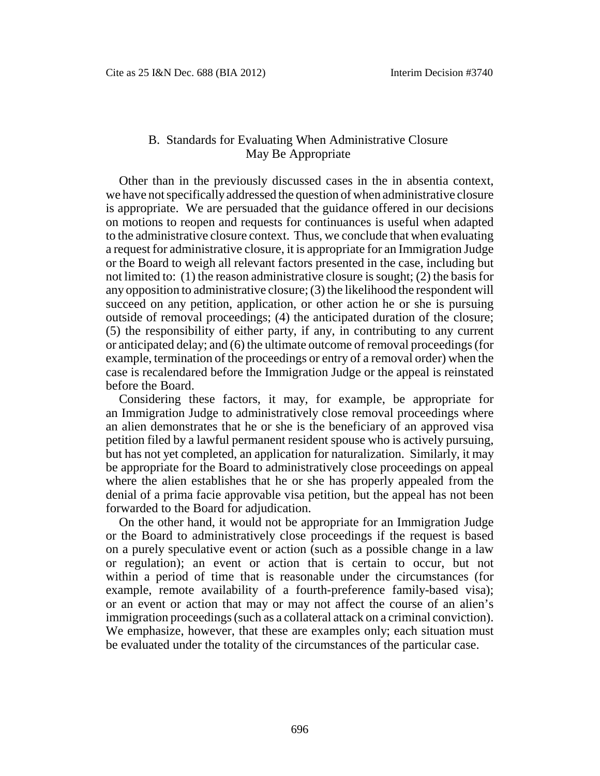## B. Standards for Evaluating When Administrative Closure May Be Appropriate

Other than in the previously discussed cases in the in absentia context, we have not specifically addressed the question of when administrative closure is appropriate. We are persuaded that the guidance offered in our decisions on motions to reopen and requests for continuances is useful when adapted to the administrative closure context. Thus, we conclude that when evaluating a request for administrative closure, it is appropriate for an Immigration Judge or the Board to weigh all relevant factors presented in the case, including but not limited to: (1) the reason administrative closure is sought; (2) the basis for any opposition to administrative closure; (3) the likelihood the respondent will succeed on any petition, application, or other action he or she is pursuing outside of removal proceedings; (4) the anticipated duration of the closure; (5) the responsibility of either party, if any, in contributing to any current or anticipated delay; and (6) the ultimate outcome of removal proceedings (for example, termination of the proceedings or entry of a removal order) when the case is recalendared before the Immigration Judge or the appeal is reinstated before the Board.

Considering these factors, it may, for example, be appropriate for an Immigration Judge to administratively close removal proceedings where an alien demonstrates that he or she is the beneficiary of an approved visa petition filed by a lawful permanent resident spouse who is actively pursuing, but has not yet completed, an application for naturalization. Similarly, it may be appropriate for the Board to administratively close proceedings on appeal where the alien establishes that he or she has properly appealed from the denial of a prima facie approvable visa petition, but the appeal has not been forwarded to the Board for adjudication.

On the other hand, it would not be appropriate for an Immigration Judge or the Board to administratively close proceedings if the request is based on a purely speculative event or action (such as a possible change in a law or regulation); an event or action that is certain to occur, but not within a period of time that is reasonable under the circumstances (for example, remote availability of a fourth-preference family-based visa); or an event or action that may or may not affect the course of an alien's immigration proceedings (such as a collateral attack on a criminal conviction). We emphasize, however, that these are examples only; each situation must be evaluated under the totality of the circumstances of the particular case.